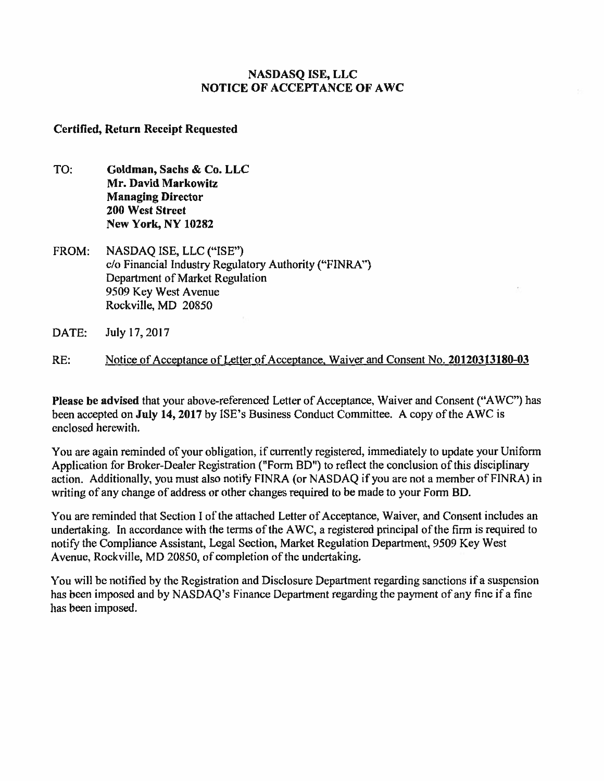# **NASDASQ ISE, LLC NOTICE OF ACCEPTANCE OF AWC**

# **Certified, Return Receipt Requested**

- TO: **Goldman, Sachs & Co. LLC Mr. David Markowitz Managing Director 200 West Street New York, NY 10282**
- FROM: NASDAQ ISE, LLC ("ISE") c/a Financial Industry Regulatory Authority ("FINRA") Department of Market Regulation 9509 Key West Avenue Rockville, MD 20850
- DATE: July 17, 2017
- RE: Notice of Acceptance of Letter of Acceptance, Waiver and Consent No. **20120313180-03**

**Please be advised** that your above-referenced Letter of Acceptance, Waiver and Consent ("AWC") has been accepted on **July 14, 2017** by ISE's Business Conduct Committee. A copy of the AWC is enclosed herewith.

You are again reminded of your obligation, if currently registered, immediately to update your Uniform Application for Broker-Dealer Registration ("Form BD") to reflect the conclusion of this disciplinary action. Additionally, you must also notify FINRA (or NASDAQ if you are not a member of FINRA) in writing of any change of address or other changes required to be made to your Form BD.

You are reminded that Section I of the attached Letter of Acceptance, Waiver, and Consent includes an undertaking. In accordance with the terms of the AWC, a registered principal of the firm is required to notify the Compliance Assistant, Legal Section, Market Regulation Department, 9509 Key West Avenue, Rockville, MD 20850, of completion of the undertaking.

You will be notified by the Registration and Disclosure Department regarding sanctions if a suspension has been imposed and by NASDAQ's Finance Department regarding the payment of any fine if a fine has been imposed.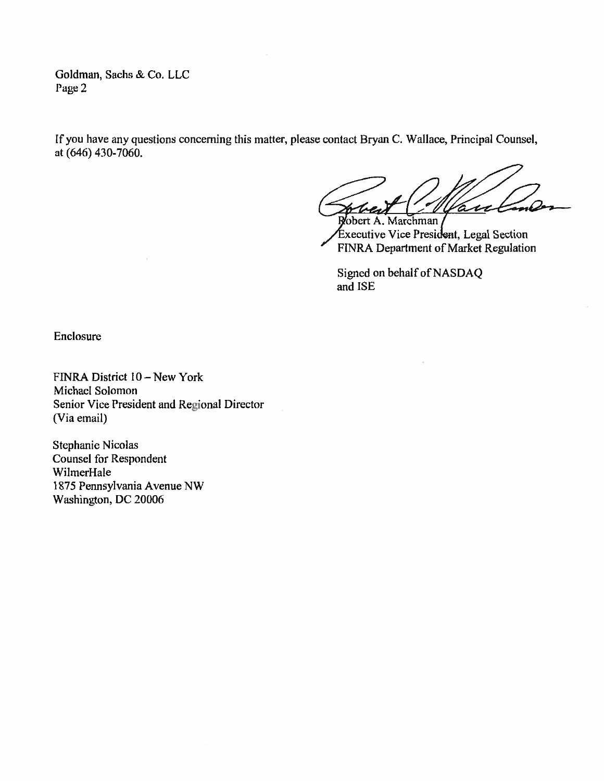Goldman, Sachs & Co. LLC Page 2

If you have any questions concerning this matter, please contact Bryan C. Wallace, Principal Counsel, at (646) 430-7060.

u

Robert A. Marchman / Executive Vice President, Legal Section FINRA Department of Market Regulation

Signed on behalf of NASDAQ and ISE

Enclosure

FINRA District 10 — New York Michael Solomon Senior Vice President and Regional Director (Via email)

Stephanie Nicolas Counsel for Respondent WilmerHale 1875 Pennsylvania Avenue NW Washington, DC 20006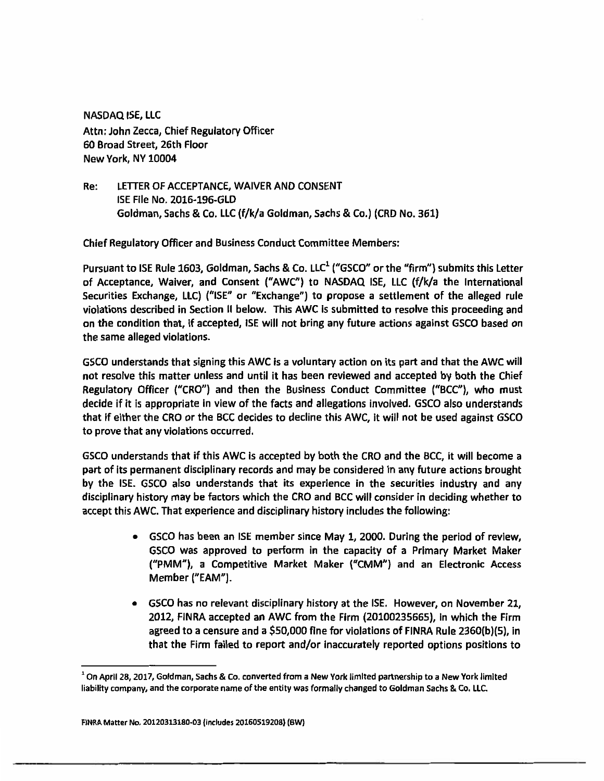**NASDAQ ISE, LLC Attn: John Zecca, Chief Regulatory Officer 60 Broad Street, 26th Floor New York, NY 10004** 

**Re: LETTER OF ACCEPTANCE, WAIVER AND CONSENT ISE File No. 2016-196-GLD Goldman, Sachs & Co. LLC (f/k/a Goldman, Sachs & Co.) (CRD No. 361)** 

**Chief Regulatory Officer and Business Conduct Committee Members:** 

**Pursuant to ISE Rule 1603, Goldman, Sachs & Co. LLC' ("GSCO" or the "firm") submits this Letter of Acceptance, Waiver, and Consent ("AWC") to NASDAQ ISE, LLC (f/k/a the International Securities Exchange, LLC) ("ISE" or "Exchange") to propose a settlement of the alleged rule violations described in Section II below. This AWC is submitted to resolve this proceeding and on the condition that, if accepted, ISE will not bring any future actions against GSCO based on the same alleged violations.** 

**GSCO understands that signing this AWC is a voluntary action on its part and that the AWC will not resolve this matter unless and until it has been reviewed and accepted by both the Chief Regulatory Officer ("CRO") and then the Business Conduct Committee ("BCC"), who must decide if it is appropriate in view of the facts and allegations involved. GSCO also understands that if either the CRO or the BCC decides to decline this AWC, it will not be used against GSCO to prove that any violations occurred.** 

**GSCO understands that if this AWC is accepted by both the CRO and the BCC, it will become a part of its permanent disciplinary records and may be considered in any future actions brought by the ISE. GSCO also understands that its experience in the securities industry and any disciplinary history may be factors which the CRO and BCC will consider in deciding whether to accept this AWC. That experience and disciplinary history includes the following:** 

- **GSCO has been an ISE member since May 1, 2000. During the period of review, GSCO was approved to perform in the capacity of a Primary Market Maker ("PMM"), a Competitive Market Maker ("CMM") and an Electronic Access Member ("EAM").**
- **GSCO has no relevant disciplinary history at the ISE. However, on November 21, 2012, FINRA accepted an AWC from the Firm (20100235665), in which the Firm agreed to a censure and a \$50,000 fine for violations of FINRA Rule 2360(b)(5), in that the Firm failed to report and/or inaccurately reported options positions to**

**<sup>1</sup> On April 28, 2017, Goldman, Sachs & Co. converted from a New York limited partnership to a New York limited liability company, and the corporate name of the entity was formally changed to Goldman Sachs & Co. LLC.**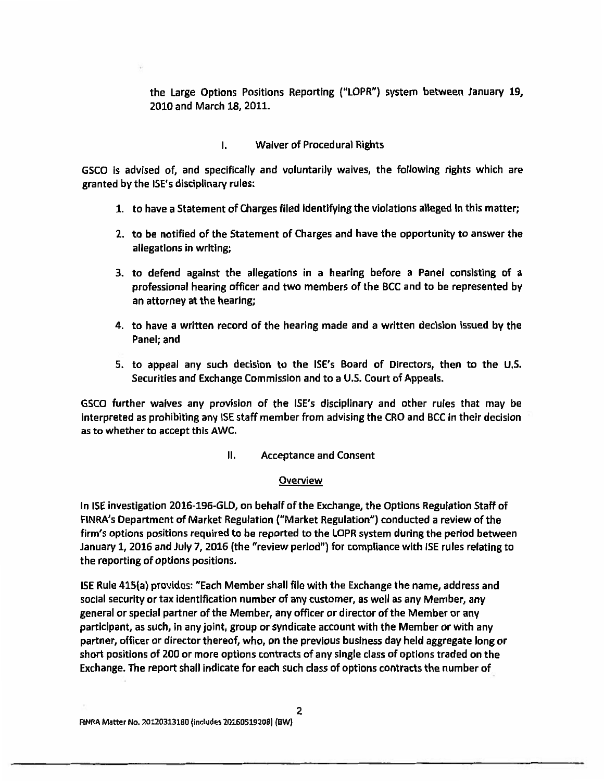**the Large Options Positions Reporting ("LOPR") system between January 19, 2010 and March 18, 2011.** 

## **I. Waiver of Procedural Rights**

**GSCO is advised of, and specifically and voluntarily waives, the following rights which are granted by the ISE's disciplinary rules:** 

- **1. to have a Statement of Charges filed identifying the violations alleged in this matter;**
- **2. to be notified of the Statement of Charges and have the opportunity to answer the allegations in writing;**
- **3. to defend against the allegations in a hearing before a Panel consisting of a professional hearing officer and two members of the BCC and to be represented by an attorney at the hearing;**
- **4. to have a written record of the hearing made and a written decision issued by the Panel; and**
- **5. to appeal any such decision to the ISE's Board of Directors, then to the U.S. Securities and Exchange Commission and to a U.S. Court of Appeals.**

**GSCO further waives any provision of the ISE's disciplinary and other rules that may be interpreted as prohibiting any ISE staff member from advising the CRO and BCC in their decision as to whether to accept this AWC.** 

**II. Acceptance and Consent** 

#### **Overview**

**In ISE investigation 2016-196-GLD, on behalf of the Exchange, the Options Regulation Staff of FINRA's Department of Market Regulation ("Market Regulation") conducted a review of the firm's options positions required to be reported to the LOPR system during the period between January 1, 2016 and July 7, 2016 (the "review period") for compliance with ISE rules relating to the reporting of options positions.** 

**ISE Rule 415(a) provides: "Each Member shall file with the Exchange the name, address and social security or tax identification number of any customer, as well as any Member, any general or special partner of the Member, any officer or director of the Member or any participant, as such, in any joint, group or syndicate account with the Member or with any partner, officer or director thereof, who, on the previous business day held aggregate long or short positions of 200 or more options contracts of any single class of options traded on the Exchange. The report shall indicate for each such class of options contracts the number of**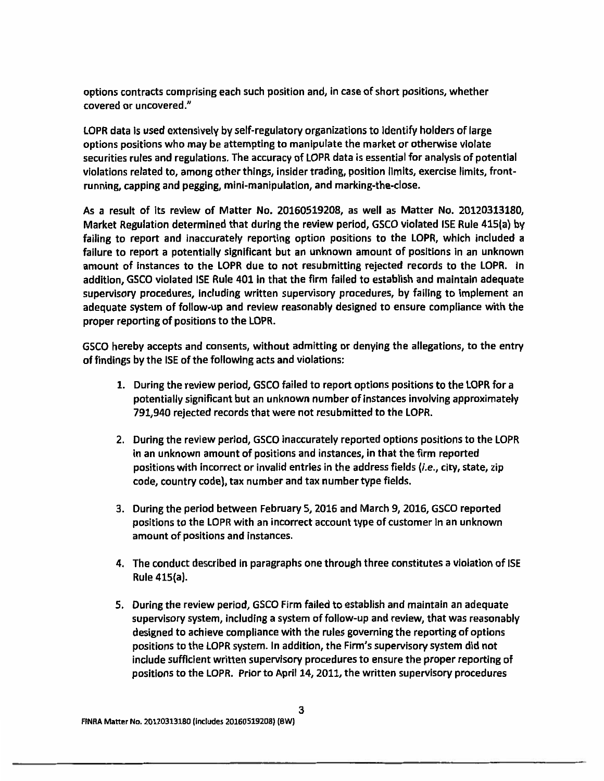**options contracts comprising each such position and, in case of short positions, whether covered or uncovered."** 

**LOPR data is used extensively by self-regulatory organizations to identify holders of large options positions who may be attempting to manipulate the market or otherwise violate securities rules and regulations. The accuracy of LOPR data is essential for analysis of potential violations related to, among other things, insider trading, position limits, exercise limits, frontrunning, capping and pegging, mini-manipulation, and marking-the-close.** 

**As a result of its review of Matter No. 20160519208, as well as Matter No. 20120313180, Market Regulation determined that during the review period, GSCO violated ISE Rule 415(a) by failing to report and inaccurately reporting option positions to the LOPR, which included a failure to report a potentially significant but an unknown amount of positions in an unknown amount of instances to the LOPR due to not resubmitting rejected records to the LOPR. in addition, GSCO violated ISE Rule 401 in that the firm failed to establish and maintain adequate supervisory procedures, including written supervisory procedures, by failing to implement an adequate system of follow-up and review reasonably designed to ensure compliance with the proper reporting of positions to the LOPR.** 

**GSCO hereby accepts and consents, without admitting or denying the allegations, to the entry of findings by the ISE of the following acts and violations:** 

- **1. During the review period, GSCO failed to report options positions to the LOPR for a potentially significant but an unknown number of instances involving approximately 791,940 rejected records that were not resubmitted to the LOPR.**
- **2. During the review period, GSCO inaccurately reported options positions to the LOPR in an unknown amount of positions and instances, in that the firm reported positions with incorrect or invalid entries in the address fields {i.e., city, state, zip code, country code), tax number and tax number type fields.**
- **3. During the period between February 5, 2016 and March 9, 2016, GSCO reported positions to the LOPR with an incorrect account type of customer in an unknown amount of positions and instances.**
- **4. The conduct described in paragraphs one through three constitutes a violation of ISE Rule 415(a).**
- **5. During the review period, GSCO Firm failed to establish and maintain an adequate supervisory system, including a system of follow-up and review, that was reasonably designed to achieve compliance with the rules governing the reporting of options positions to the LOPR system. In addition, the Firm's supervisory system did not include sufficient written supervisory procedures to ensure the proper reporting of positions to the LOPR. Prior to April 14, 2011, the written supervisory procedures**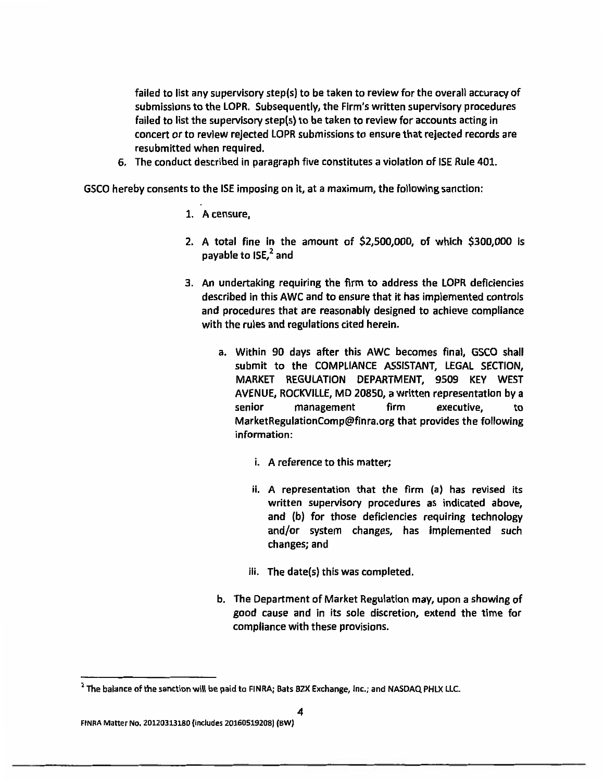**failed to list any supervisory step(s) to be taken to review for the overall accuracy of submissions to the LOPR. Subsequently, the Firm's written supervisory procedures failed to list the supervisory step(s) to be taken to review for accounts acting in concert or to review rejected LOPR submissions to ensure that rejected records are resubmitted when required.** 

**6. The conduct described in paragraph five constitutes a violation of ISE Rule 401.** 

**GSCO hereby consents to the ISE imposing on it, at a maximum, the following sanction:** 

- **1. A censure,**
- **2. A total fine in the amount of \$2,500,000, of which \$300,000 is**  payable to **ISE**,<sup>2</sup> and
- **3. An undertaking requiring the firm to address the LOPR deficiencies described in this AWC and to ensure that it has implemented controls and procedures that are reasonably designed to achieve compliance with the rules and regulations cited herein.** 
	- **a. Within 90 days after this AWC becomes final, GSCO shall submit to the COMPLIANCE ASSISTANT, LEGAL SECTION, MARKET REGULATION DEPARTMENT, 9509 KEY WEST AVENUE, ROCKVILLE, MD 20850, a written representation by a senior management firm executive, to MarketRegulationComp@finra.org that provides the following information:** 
		- **i. A reference to this matter;**
		- **ii. A representation that the firm (a) has revised its written supervisory procedures as indicated above, and (b) for those deficiencies requiring technology and/or system changes, has implemented such changes; and**
		- **Hi. The date(s) this was completed.**
	- **b. The Department of Market Regulation may, upon a showing of good cause and in its sole discretion, extend the time for compliance with these provisions.**

<sup>&</sup>lt;sup>2</sup> The balance of the sanction will be paid to FINRA; Bats BZX Exchange, Inc.; and NASDAQ PHLX LLC.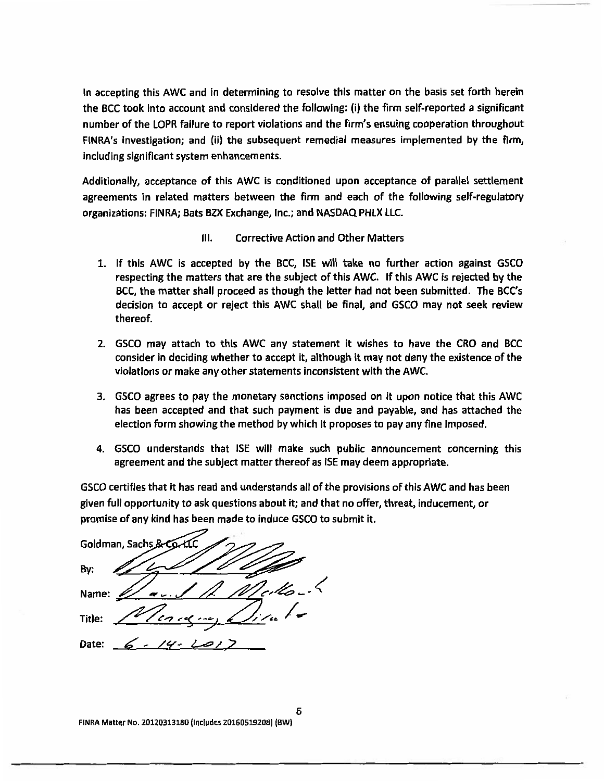**In accepting this AWC and in determining to resolve this matter on the basis set forth herein the BCC took into account and considered the following: 0) the firm self-reported a significant number of the LOPR failure to report violations and the firm's ensuing cooperation throughout FINRA's investigation; and (ii) the subsequent remedial measures implemented by the firm, including significant system enhancements.** 

**Additionally, acceptance of this AWC is conditioned upon acceptance of parallel settlement agreements in related matters between the firm and each of the following self-regulatory organizations: FINRA; Bats BZX Exchange, Inc.; and NASDAQ PHLX LLC.** 

- **III. Corrective Action and Other Matters**
- **1. If this AWC is accepted by the BCC, ISE will take no further action against GSCO respecting the matters that are the subject of this AWC. If this AWC is rejected by the BCC, the matter shall proceed as though the letter had not been submitted. The BCC's decision to accept or reject this AWC shall be final, and GSCO may not seek review thereof.**
- **2. GSCO may attach to this AWC any statement it wishes to have the CRO and BCC consider in deciding whether to accept it, although it may not deny the existence of the violations or make any other statements inconsistent with the AWC.**
- **3. GSCO agrees to pay the monetary sanctions imposed on it upon notice that this AWC has been accepted and that such payment is due and payable, and has attached the election form showing the method by which it proposes to pay any fine imposed.**
- **4. GSCO understands that ISE will make such public announcement concerning this agreement and the subject matter thereof as ISE may deem appropriate.**

**GSCO certifies that it has read and understands ail of the provisions of this AWC and has been given full opportunity to ask questions about it; and that no offer, threat, inducement, or promise of any kind has been made to induce GSCO to submit it.** 

**Goldman, Sachs By: Name: Title: c"...,re9 i.- - -1 /./111\*- /cc Date:**  $\frac{6}{4}$  - 14 - 2

FINRA Matter No. 20120313180 (Includes 20160519208) (6W)

**5**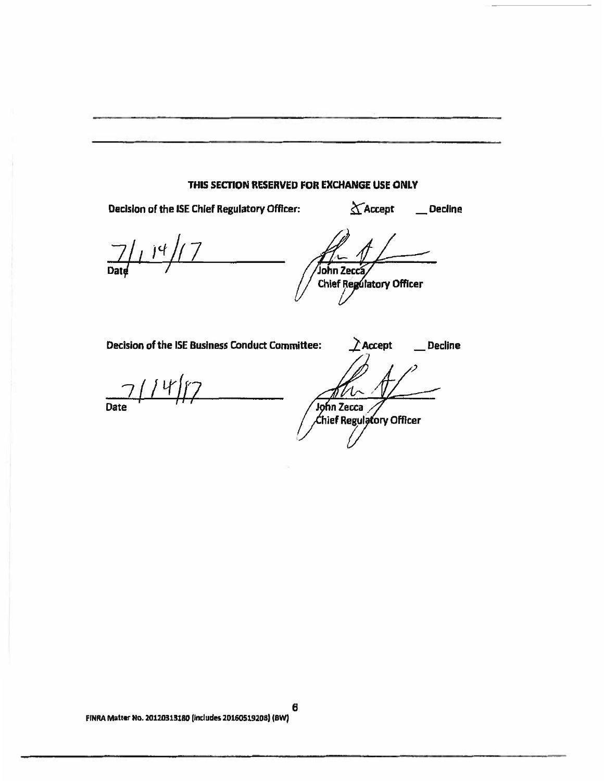# **THIS SECTION RESERVED FOR EXCHANGE USE ONLY**

Decision of the ISE Chief Regulatory Officer:  $\Delta$ Accept Decline

 $14$ Date

**J ohn Zec Chief Regulatory Officer** 

**Decision of the ISE Business Conduct Committee:**  $\triangle$  Accept \_\_\_ Decline

**Date**  $4/$ 

**n Zecca hief Regui ory Officer**